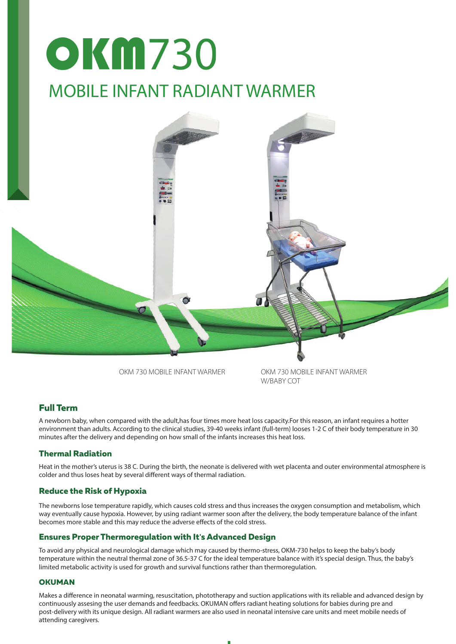# **OKM730** MOBILE INFANT RADIANT WARMER



OKM 730 MOBILE INFANT WARMER

OKM 730 MOBILE INFANT WARMER W/BARY COT

### **Full Term**

A newborn baby, when compared with the adult,has four times more heat loss capacity.For this reason, an infant requires a hotter environment than adults. According to the clinical studies, 39-40 weeks infant (full-term) looses 1-2 C of their body temperature in 30 minutes after the delivery and depending on how small of the infants increases this heat loss.

#### **Thermal Radiation**

Heat in the mother's uterus is 38 C. During the birth, the neonate is delivered with wet placenta and outer environmental atmosphere is colder and thus loses heat by several different ways of thermal radiation.

#### **Reduce the Risk of Hypoxia**

The newborns lose temperature rapidly, which causes cold stress and thus increases the oxygen consumption and metabolism, which way eventually cause hypoxia. However, by using radiant warmer soon after the delivery, the body temperature balance of the infant becomes more stable and this may reduce the adverse effects of the cold stress.

#### **Ensures Proper Thermoregulation with It's Advanced Design**

To avoid any physical and neurological damage which may caused by thermo-stress, OKM-730 helps to keep the baby's body temperature within the neutral thermal zone of 36.5-37 C for the ideal temperature balance with it's special design. Thus, the baby's limited metabolic activity is used for growth and survival functions rather than thermoregulation.

#### **OKUMAN**

Makes a difference in neonatal warming, resuscitation, phototherapy and suction applications with its reliable and advanced design by continuously assesing the user demands and feedbacks. OKUMAN offers radiant heating solutions for babies during pre and post-delivery with its unique design. All radiant warmers are also used in neonatal intensive care units and meet mobile needs of attending caregivers.